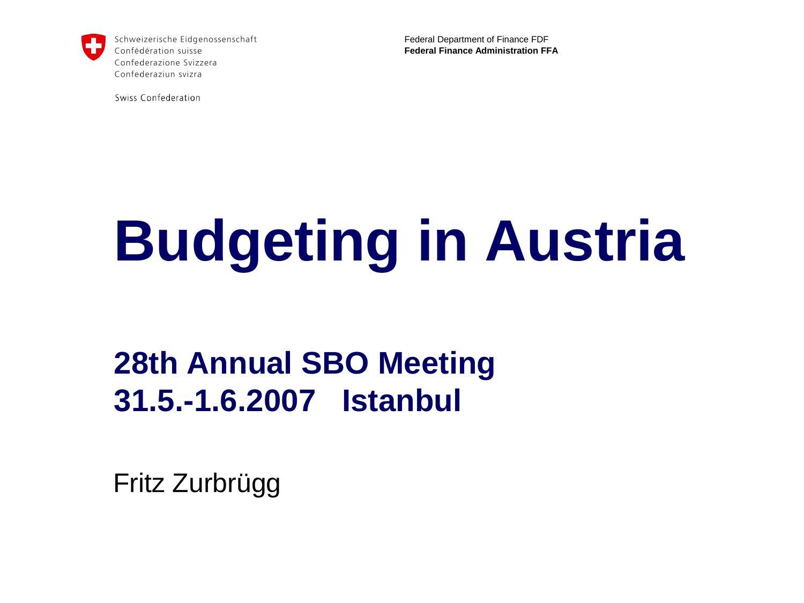

Schweizerische Eidgenossenschaft Confédération suisse Confederazione Svizzera Confederaziun svizra

Swiss Confederation

Federal Department of Finance FDF **Federal Finance Administration FFA** 

# **Budgeting in Austria**

### **28th Annual SBO Meeting 31.5.-1.6.2007 Istanbul**

Fritz Zurbrügg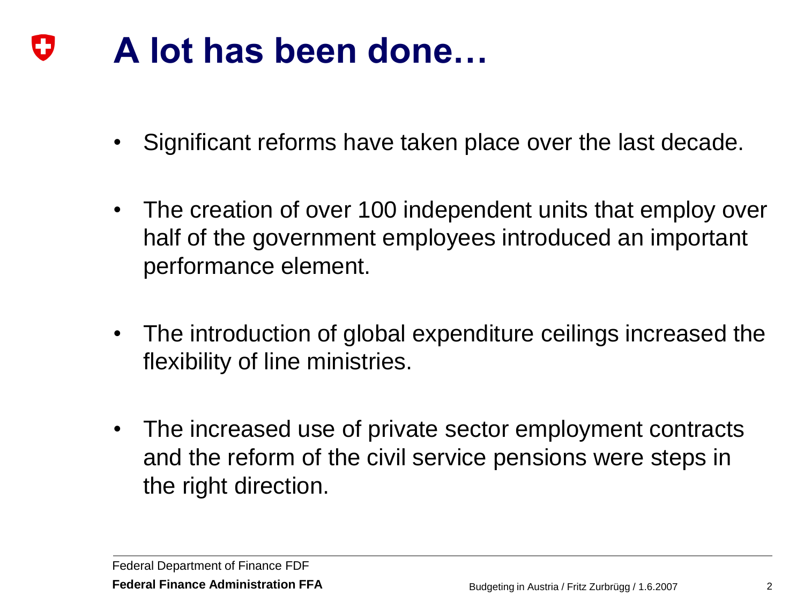#### IJ **A lot has been done…**

- Significant reforms have taken place over the last decade.
- The creation of over 100 independent units that employ over half of the government employees introduced an important performance element.
- The introduction of global expenditure ceilings increased the flexibility of line ministries.
- The increased use of private sector employment contracts and the reform of the civil service pensions were steps in the right direction.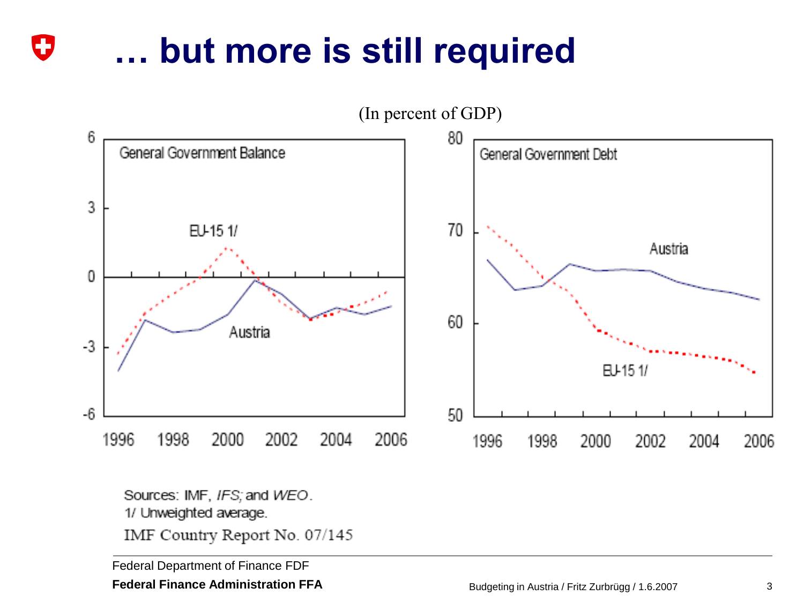## **… but more is still required**



Sources: IMF, IFS; and WEO. 1/ Unweighted average.

IMF Country Report No. 07/145

Federal Department of Finance FDF

IJ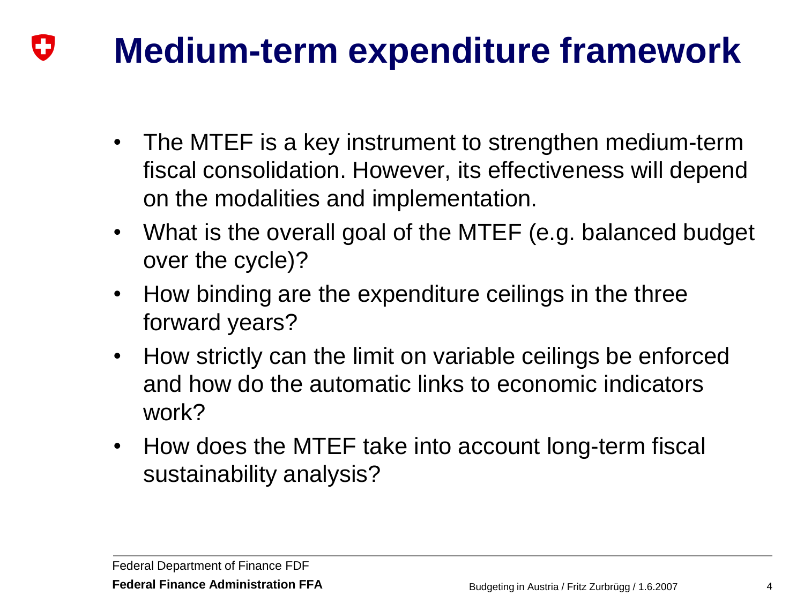#### **Medium-term expenditure framework** U

- The MTEF is a key instrument to strengthen medium-term fiscal consolidation. However, its effectiveness will depend on the modalities and implementation.
- What is the overall goal of the MTEF (e.g. balanced budget over the cycle)?
- How binding are the expenditure ceilings in the three forward years?
- How strictly can the limit on variable ceilings be enforced and how do the automatic links to economic indicators work?
- How does the MTEF take into account long-term fiscal sustainability analysis?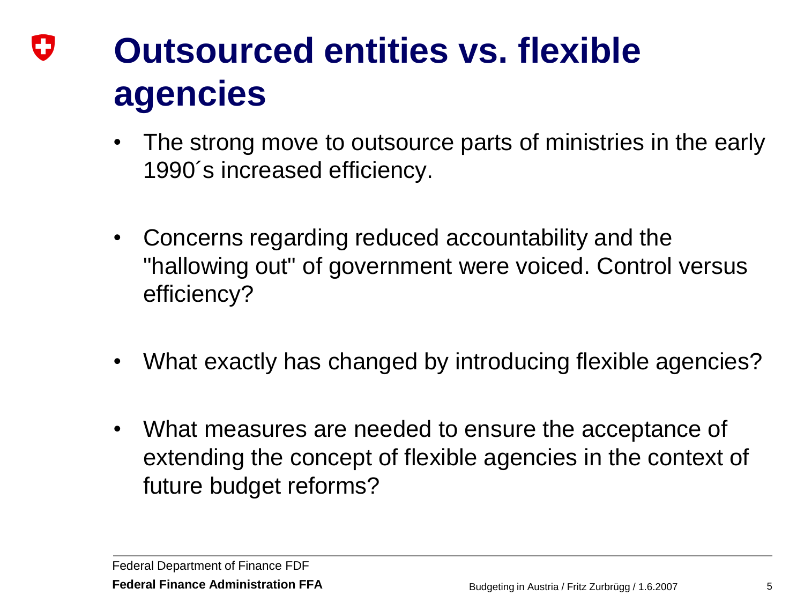### IJ **Outsourced entities vs. flexible agencies**

- The strong move to outsource parts of ministries in the early 1990´s increased efficiency.
- Concerns regarding reduced accountability and the "hallowing out" of government were voiced. Control versus efficiency?
- What exactly has changed by introducing flexible agencies?
- What measures are needed to ensure the acceptance of extending the concept of flexible agencies in the context of future budget reforms?